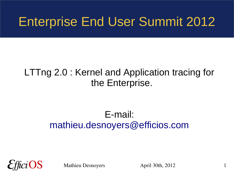#### Enterprise End User Summit 2012

#### LTTng 2.0 : Kernel and Application tracing for the Enterprise.

#### E-mail: [mathieu.desnoyers@efficios.com](mailto:mathieu.desnoyers@efficios.com)

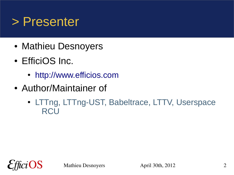#### > Presenter

- Mathieu Desnoyers
- EfficiOS Inc.
	- [http://www.efficios.com](http://www.efficios.com/)
- Author/Maintainer of
	- LTTng, LTTng-UST, Babeltrace, LTTV, Userspace **RCU**

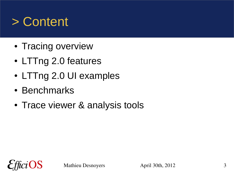#### > Content

- Tracing overview
- LTTng 2.0 features
- LTTng 2.0 UI examples
- Benchmarks
- Trace viewer & analysis tools

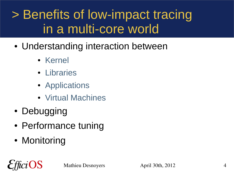#### > Benefits of low-impact tracing in a multi-core world

- Understanding interaction between
	- Kernel
	- Libraries
	- Applications
	- Virtual Machines
- Debugging
- Performance tuning
- Monitoring

OS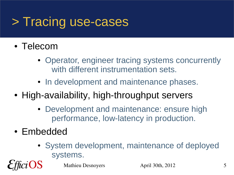#### > Tracing use-cases

- Telecom
	- Operator, engineer tracing systems concurrently with different instrumentation sets.
	- In development and maintenance phases.
- High-availability, high-throughput servers
	- Development and maintenance: ensure high performance, low-latency in production.
- Embedded
	- System development, maintenance of deployed systems.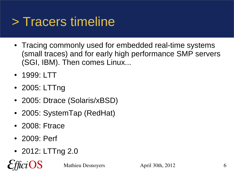#### > Tracers timeline

- Tracing commonly used for embedded real-time systems (small traces) and for early high performance SMP servers (SGI, IBM). Then comes Linux...
- 1999: LTT
- 2005: LTTng
- 2005: Dtrace (Solaris/xBSD)
- 2005: SystemTap (RedHat)
- 2008: Ftrace
- 2009: Perf

iOS

• 2012: LTTng 2.0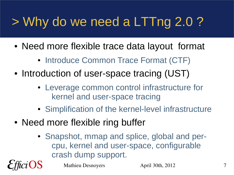# > Why do we need a LTTng 2.0 ?

- Need more flexible trace data layout format
	- Introduce Common Trace Format (CTF)
- Introduction of user-space tracing (UST)
	- Leverage common control infrastructure for kernel and user-space tracing
	- Simplification of the kernel-level infrastructure
- Need more flexible ring buffer
	- Snapshot, mmap and splice, global and percpu, kernel and user-space, configurable crash dump support.

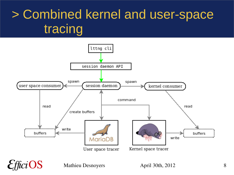## > Combined kernel and user-space tracing

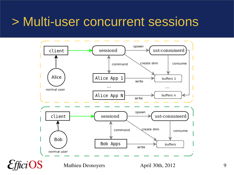#### > Multi-user concurrent sessions

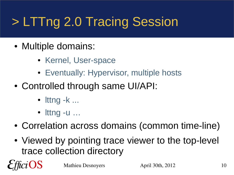# > LTTng 2.0 Tracing Session

- Multiple domains:
	- Kernel, User-space
	- Eventually: Hypervisor, multiple hosts
- Controlled through same UI/API:
	- $\bullet$  lttng  $-k$  ...
	- $\bullet$  lttng -u  $\dots$

OS

- Correlation across domains (common time-line)
- Viewed by pointing trace viewer to the top-level trace collection directory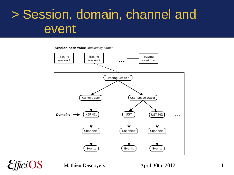#### > Session, domain, channel and event

Session hash table (indexed by name)



 $ciOS$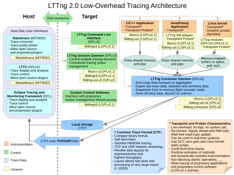#### LTTng 2.0 Low-Overhead Tracing Architecture

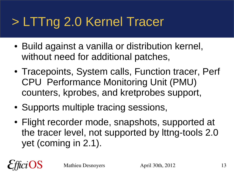## > LTTng 2.0 Kernel Tracer

- Build against a vanilla or distribution kernel, without need for additional patches,
- Tracepoints, System calls, Function tracer, Perf CPU Performance Monitoring Unit (PMU) counters, kprobes, and kretprobes support,
- Supports multiple tracing sessions,
- Flight recorder mode, snapshots, supported at the tracer level, not supported by lttng-tools 2.0 yet (coming in 2.1).

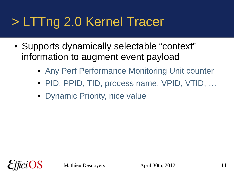### > LTTng 2.0 Kernel Tracer

- Supports dynamically selectable "context" information to augment event payload
	- Any Perf Performance Monitoring Unit counter
	- PID, PPID, TID, process name, VPID, VTID, ...
	- Dynamic Priority, nice value

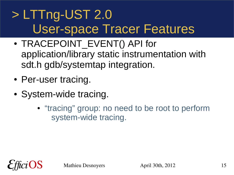#### > LTTng-UST 2.0 User-space Tracer Features

- TRACEPOINT EVENT() API for application/library static instrumentation with sdt.h gdb/systemtap integration.
- Per-user tracing.
- System-wide tracing.
	- "tracing" group: no need to be root to perform system-wide tracing.

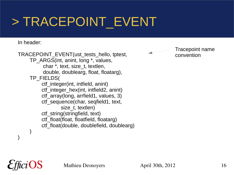### > TRACEPOINT\_EVENT

#### In header:

)

TRACEPOINT\_EVENT(ust\_tests\_hello, tptest, TP ARGS(int, anint, long \*, values, char \*, text, size\_t, textlen, double, doublearg, float, floatarg), TP\_FIELDS( ctf\_integer(int, intfield, anint) ctf\_integer\_hex(int, intfield2, anint) ctf array(long, arrfield1, values, 3) ctf\_sequence(char, seqfield1, text, size t, textlen) ctf\_string(stringfield, text) ctf\_float(float, floatfield, floatarg) ctf float(double, doublefield, doublearg)  $\overline{\phantom{a}}$ 

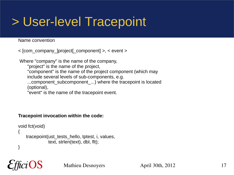#### > User-level Tracepoint

#### Name convention

< [com\_company\_]project[\_component] >, < event >

Where "company" is the name of the company, "project" is the name of the project, "component" is the name of the project component (which may include several levels of sub-components, e.g. ...component subcomponent ...) where the tracepoint is located (optional), "event" is the name of the tracepoint event.

#### **Tracepoint invocation within the code:**

```
void fct(void)
{
     tracepoint(ust_tests_hello, tptest, i, values,
                 text, strlen(text), dbl, flt);
}
```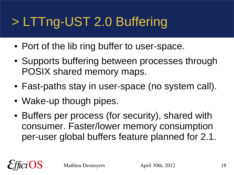# > LTTng-UST 2.0 Buffering

- Port of the lib ring buffer to user-space.
- Supports buffering between processes through POSIX shared memory maps.
- Fast-paths stay in user-space (no system call).
- Wake-up though pipes.
- Buffers per process (for security), shared with consumer. Faster/lower memory consumption per-user global buffers feature planned for 2.1.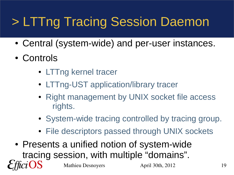## > LTTng Tracing Session Daemon

- Central (system-wide) and per-user instances.
- Controls
	- LTTng kernel tracer
	- LTTng-UST application/library tracer
	- Right management by UNIX socket file access rights.
	- System-wide tracing controlled by tracing group.
	- File descriptors passed through UNIX sockets
- Mathieu Desnoyers April 30th, 2012 19 • Presents a unified notion of system-wide tracing session, with multiple "domains".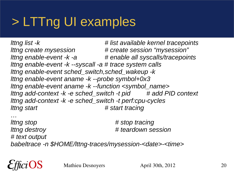#### > LTTng UI examples

*lttng list -k # list available kernel tracepoints lttng create mysession # create session "mysession" lttng enable-event -k -a # enable all syscalls/tracepoints lttng enable-event -k --syscall -a # trace system calls lttng enable-event sched\_switch,sched\_wakeup -k lttng enable-event aname -k --probe symbol+0x3 lttng enable-event aname -k --function <symbol\_name> lttng add-context -k -e sched\_switch -t pid # add PID context lttng add-context -k -e sched\_switch -t perf:cpu-cycles lttng start # start tracing*

*… lttng stop # stop tracing lttng destroy # teardown session # text output babeltrace -n \$HOME/lttng-traces/mysession-<date>-<time>*

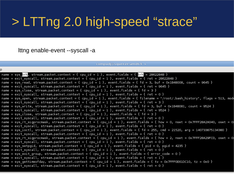#### > LTTng 2.0 high-speed "strace"

#### lttng enable-event --syscall -a

compudi@squeeze-amd64: ~

```
name = sys <mark>brk</mark>, stream.packet.context = { cpu id = 1 }, event.fields = { brk = 28622848 }
name = exit syscall, stream.packet.context = { cpu id = 1 }, event.fields = { ret = 28622848 }
name = sys_read, stream.packet.context = { cpu_id = 1 }, event.fields = { fd = 3, buf = 0x1B48008, count = 9645 }
name = exit syscall, stream.packet.context = { cpu id = 1 }, event.fields = { ret = 9645 }
name = sys close, stream.packet.context = { cpu id = 1 }, event.fields = { fd = 3 }
name = exit syscall, stream.packet.context = { cpu id = 1 }, event.fields = { ret = 0 }
name = sys open, stream.packet.context = { cpu id = 1 }, event.fields = { filename = "/root/.bash history", flags = 513, mode
name = exit syscall, stream.packet.context = { cpu id = 1 }, event.fields = { ret = 3 }
name = sys write, stream.packet.context = { cpu id = 1 }, event.fields = { fd = 3, buf = 0x1B48081, count = 9524 }
name = exit syscall, stream.packet.context = { cpu id = 1 }, event.fields = { ret = 9524 }
name = sys close, stream.packet.context = { cpu id = 1 }, event.fields = { fd = 3 }
name = exit syscall, stream.packet.context = { \overline{c}pu id = 1 }, event.fields = { ret = 0 }
name = sys rt sigprocmask, stream.packet.context = { cpu id = 1 }, event.fields = { how = 0, nset = 0x7FFF28A2A040, oset = 0x
name = exit syscall, stream.packet.context = { cpu id = 1 }, event.fields = { ret = 0 }
name = sys ioctl, stream.packet.context = { cpu id = 1 }, event.fields = { fd = 255, cmd = 21520, arg = 140733875134380 }
name = exit syscall, stream.packet.context = { cpu id = 1 }, event.fields = { ret = 0 }
name = sys rt sigprocmask, stream.packet.context = { cpu id = 1 }, event.fields = { how = 2, nset = 0x7FFF28A29FC0, oset = 0x
name = exit syscall, stream.packet.context = { cpu id = 1 }, event.fields = { ret = 0 }
name = sys setpgid, stream.packet.context = { cpu id = 1 }, event.fields = { pid = 0, pgid = 4235 }
name = exit syscall, stream.packet.context = { cpu_id = 1 }, event.fields = { ret = 0 }
name = sys_exit_group, stream.packet.context = { cpu_id = 1 }, event.fields = { error_code = 0 }
name = exit_syscall, stream.packet.context = { cpu_id = 1 }, event.fields = { ret = 1 }
name = sys_gettimeofday, stream.packet.context = { cpu_id = 1 }, event.fields = { tv = 0x7FFF0E61DC10, tz = 0x0 }
name = exit syscall, stream.packet.context = { cpu id = 1 }, event.fields = { ret = 0 }
```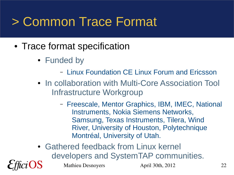#### > Common Trace Format

- Trace format specification
	- Funded by
		- Linux Foundation CE Linux Forum and Ericsson
	- In collaboration with Multi-Core Association Tool Infrastructure Workgroup
		- Freescale, Mentor Graphics, IBM, IMEC, National Instruments, Nokia Siemens Networks, Samsung, Texas Instruments, Tilera, Wind River, University of Houston, Polytechnique Montréal, University of Utah.
	- Gathered feedback from Linux kernel developers and SystemTAP communities.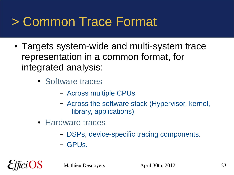#### > Common Trace Format

- Targets system-wide and multi-system trace representation in a common format, for integrated analysis:
	- Software traces
		- Across multiple CPUs
		- Across the software stack (Hypervisor, kernel, library, applications)
	- Hardware traces
		- DSPs, device-specific tracing components.
		- GPUs.

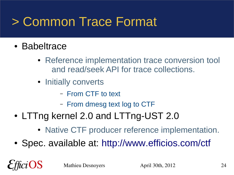#### > Common Trace Format

- Babeltrace
	- Reference implementation trace conversion tool and read/seek API for trace collections.
	- Initially converts
		- From CTF to text
		- From dmesg text log to CTF
- LTTng kernel 2.0 and LTTng-UST 2.0
	- Native CTF producer reference implementation.
- Spec. available at: <http://www.efficios.com/ctf>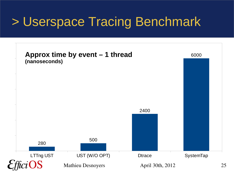#### > Userspace Tracing Benchmark

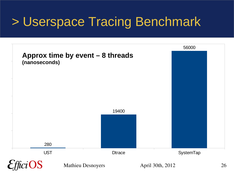#### > Userspace Tracing Benchmark

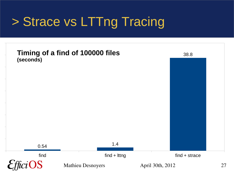### > Strace vs LTTng Tracing

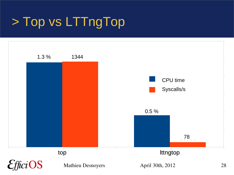### > Top vs LTTngTop

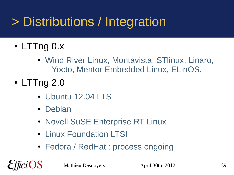## > Distributions / Integration

- LTTng 0.x
	- Wind River Linux, Montavista, STlinux, Linaro, Yocto, Mentor Embedded Linux, ELinOS.
- LTTng 2.0
	- Ubuntu 12.04 LTS
	- Debian
	- Novell SuSE Enterprise RT Linux
	- Linux Foundation LTSI
	- Fedora / RedHat : process ongoing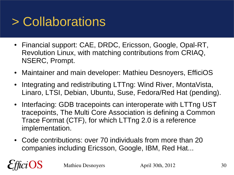### > Collaborations

- Financial support: CAE, DRDC, Ericsson, Google, Opal-RT, Revolution Linux, with matching contributions from CRIAQ, NSERC, Prompt.
- Maintainer and main developer: Mathieu Desnoyers, EfficiOS
- Integrating and redistributing LTTng: Wind River, MontaVista, Linaro, LTSI, Debian, Ubuntu, Suse, Fedora/Red Hat (pending).
- Interfacing: GDB tracepoints can interoperate with LTTng UST tracepoints, The Multi Core Association is defining a Common Trace Format (CTF), for which LTTng 2.0 is a reference implementation.
- Code contributions: over 70 individuals from more than 20 companies including Ericsson, Google, IBM, Red Hat...

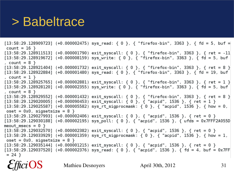#### > Babeltrace

 $[13:58:29.128909723]$  (+0.000002475) sys read: { 0 }, { "firefox-bin", 3363 }, { fd = 5, buf = count =  $16$  }  $[13:58:29.128911513]$  (+0.000001790) exit syscall: { 0 }, { "firefox-bin", 3363 }, { ret = -11  $[13:58:29.128919672]$  (+0.000008159) sys write: { 0 }, { "firefox-bin", 3363 }, { fd = 5, buf , count =  $8$  }  $[13:58:29.128921404]$  (+0.000001732) exit\_syscall: { 0 }, { "firefox-bin", 3363 }, { ret = 8 }  $[13:58:29.128922884]$  (+0.000001480) sys read: { 0 }, { "firefox-bin", 3363 }, { fd = 19, buf , count =  $1$  }  $[13:58:29.128925765]$  (+0.000002881) exit syscall: { 0 }, { "firefox-bin", 3363 }, { ret = 1 }  $[13:58:29.128928120]$  (+0.000002355) sys write: { 0 }, { "firefox-bin", 3363 }, { fd = 5, buf  $, count = 8$  }  $[13:58:29.128929552]$  (+0.000001432) exit syscall: { 0 }, { "firefox-bin", 3363 }, { ret = 8 }  $[13:58:29.129020005]$  (+0.000090453) exit syscall: { 0 }, { "acpid", 1536 }, { ret = 1 }  $[13:58:29.129025587]$  (+0.000005582) sys rt sigprocmask: { 0 }, { "acpid", 1536 }, { how = 0,  $oset = 0x0$ , sigsetsize = 8 }  $[13:58:29.129027993]$  (+0.000002406) exit syscall: { 0 }, { "acpid", 1536 }, { ret = 0 }  $[13:58:29.129030188]$  (+0.000002195) sys poll: { 0 }, { "acpid", 1536 }, { ufds = 0x7FFF2A055D meout msecs =  $0$  }  $[13:58:29.129032570]$  (+0.000002382) exit syscall: { 0 }, { "acpid", 1536 }, { ret = 0 }  $[13:58:29.129033929]$  (+0.000001359) sys rt sigprocmask: { 0 }, { "acpid", 1536 }, { how = 1,  $oset = 0x0$ , sigsetsize = 8 }  $[13:58:29.129035144]$  (+0.000001215) exit syscall: { 0 }, { "acpid", 1536 }, { ret = 0 }  $[13:58:29.129037520]$  (+0.000002376) sys\_read: { 0 }, { "acpid", 1536 }, { fd = 4, buf = 0x7FF  $= 24$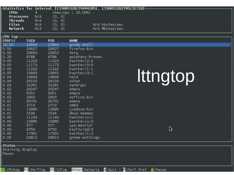|                   |             |            |                    | <sub>F</sub> Statistics for interval [1330053201794942051, 1330053202795131720[·                                                                             |
|-------------------|-------------|------------|--------------------|--------------------------------------------------------------------------------------------------------------------------------------------------------------|
| <b>CPUs</b>       | 4           |            | (max/cpu : 25.00%) |                                                                                                                                                              |
| <b>Processes</b>  | N/A         | (⊙, ⊙)     |                    |                                                                                                                                                              |
| Threads           | N/A         | (0, 0)     |                    |                                                                                                                                                              |
| <b>Files</b>      | N/A         | (0, 0)     |                    | N/A kbytes/sec                                                                                                                                               |
| Network           | N/A         | (0, 0)     |                    | N/A Mbytes/sec                                                                                                                                               |
|                   |             |            |                    |                                                                                                                                                              |
| $\Gamma$ CPU Top- |             |            |                    |                                                                                                                                                              |
| $CPU$ %)          | <b>TGID</b> | <b>PID</b> | <b>NAME</b>        |                                                                                                                                                              |
| 10.00             | 23844       | 23844      | gnome-shell        |                                                                                                                                                              |
| 5.50              | 20627       | 20627      | firefox-bin        |                                                                                                                                                              |
| 0.93              | 23653       | 23653      | Xorg               |                                                                                                                                                              |
| 0.29              | 4788        | 4788       | epiphany-browse    |                                                                                                                                                              |
| 0.05              | 11223       | 11223      | kworker/2:2        |                                                                                                                                                              |
| 0.05              | 11173       | 11173      | kworker/0:0        |                                                                                                                                                              |
| 0.05              | 11222       | 11222      | kworker/1:1        |                                                                                                                                                              |
| 0.05              | 10843       | 10843      | kworker/3:1        |                                                                                                                                                              |
| ∣0.04             | 14809       | 14809      | hald               |                                                                                                                                                              |
| ∣⊙.⊙4             | 24103       |            | xchat              | Ittngtop                                                                                                                                                     |
|                   |             | 24103      |                    |                                                                                                                                                              |
| 0.02              | 31261       | 31261      | synergyc           |                                                                                                                                                              |
| 0.02              | 20247       | 20247      | emacs              |                                                                                                                                                              |
| 0.02              | 6251        | 6251       | emacs              |                                                                                                                                                              |
| 0.02              | 2403        | 2403       | soffice.bin        |                                                                                                                                                              |
| 0.01              | 25701       | 25701      | emacs              |                                                                                                                                                              |
| 0.01              | 2719        | 2719       | nmbd               |                                                                                                                                                              |
| 0.01              | 13085       | 13085      | icedove-bin        |                                                                                                                                                              |
| 0.01              | 1534        | 1534       | dbus-daemon        |                                                                                                                                                              |
| ⊙.⊙⊙              | 11193       | 11193      | kworker/u:1        |                                                                                                                                                              |
| 0.00              | 10985       | 10985      | kworker/u:2        |                                                                                                                                                              |
| 0.00              | 577         | 577        | ips-monitor        |                                                                                                                                                              |
| 0.00              | 9750        | 9750       | ksoftirqd/3        | ダ                                                                                                                                                            |
|                   | 17301       | 17301      | kworker/1:2        |                                                                                                                                                              |
| ⊙.⊙⊙<br> ⊙.⊙⊙     | 23813       | 23813      | gnome-settings-    |                                                                                                                                                              |
|                   |             |            |                    |                                                                                                                                                              |
| rStatus           |             |            |                    |                                                                                                                                                              |
| Starting display  |             |            |                    |                                                                                                                                                              |
| Pause             |             |            |                    |                                                                                                                                                              |
|                   |             |            |                    |                                                                                                                                                              |
|                   |             |            |                    |                                                                                                                                                              |
|                   |             |            |                    | <mark>F2</mark> :CPUtop <mark>F3</mark> :PerfTop <mark>F6</mark> :IOTop <mark>Enter</mark> :Details <mark>q</mark> :Quit   <mark>B</mark> :Perf Pref p:Pause |
|                   |             |            |                    |                                                                                                                                                              |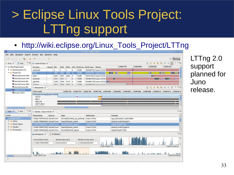## > Eclipse Linux Tools Project: LTTng support

#### [http://wiki.eclipse.org/Linux\\_Tools\\_Project/LTTng](http://wiki.eclipse.org/Linux_Tools_Project/LTTng)



LTTng 2.0 support planned for Juno release.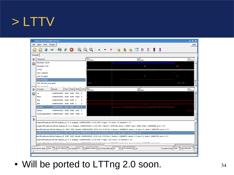#### > LTTV

|              | <b>Linux Trace Toolkit Viewer</b>                                                                                                                                                                                                                                                 |                                                     |            |      |        |               |                                                                                                                       |                                                                                                                                                                                                                                                                                                                                                                                                                                                                     | $  \in$ $x$         |
|--------------|-----------------------------------------------------------------------------------------------------------------------------------------------------------------------------------------------------------------------------------------------------------------------------------|-----------------------------------------------------|------------|------|--------|---------------|-----------------------------------------------------------------------------------------------------------------------|---------------------------------------------------------------------------------------------------------------------------------------------------------------------------------------------------------------------------------------------------------------------------------------------------------------------------------------------------------------------------------------------------------------------------------------------------------------------|---------------------|
| File         | View Tools<br>Plugins                                                                                                                                                                                                                                                             |                                                     |            |      |        |               |                                                                                                                       |                                                                                                                                                                                                                                                                                                                                                                                                                                                                     | Help                |
|              |                                                                                                                                                                                                                                                                                   |                                                     |            |      |        |               |                                                                                                                       | $\begin{array}{l} \hbox{\large $\mathfrak{Q}$} \hspace{0.2cm} \hbox{\large $\mathfrak{Q}$} \hspace{0.2cm} \hbox{\large $\mathfrak{Q}$} \hspace{0.2cm} \hbox{\large $\mathfrak{Q}$} \hspace{0.2cm} \hbox{\large $\mathfrak{Q}$} \hspace{0.2cm} \hbox{\large $\mathfrak{Q}$} \end{array} \hspace{0.2cm} \hbox{\large $\mathfrak{Q}$} \hspace{0.2cm} \hbox{\large $\mathfrak{Q}$} \hspace{0.2cm} \hbox{\large $\mathfrak{Q}$} \hspace{0.2cm} \hbox{\large $\mathfrak{$ |                     |
|              | Traceset                                                                                                                                                                                                                                                                          |                                                     |            |      |        |               |                                                                                                                       |                                                                                                                                                                                                                                                                                                                                                                                                                                                                     |                     |
| Ð            | Resource                                                                                                                                                                                                                                                                          |                                                     |            |      |        |               | 52540<br>101730325nz                                                                                                  | 22622<br>485402585n:                                                                                                                                                                                                                                                                                                                                                                                                                                                | 22701<br>863074845n |
| 黯            | Blockdev (22.0)                                                                                                                                                                                                                                                                   |                                                     |            |      |        |               |                                                                                                                       |                                                                                                                                                                                                                                                                                                                                                                                                                                                                     |                     |
|              | Blockdev (3.0)                                                                                                                                                                                                                                                                    |                                                     |            |      |        |               |                                                                                                                       |                                                                                                                                                                                                                                                                                                                                                                                                                                                                     |                     |
|              | CPUO                                                                                                                                                                                                                                                                              |                                                     |            |      |        |               |                                                                                                                       |                                                                                                                                                                                                                                                                                                                                                                                                                                                                     |                     |
|              | IRQ 1 [i8042]                                                                                                                                                                                                                                                                     |                                                     |            |      |        |               |                                                                                                                       |                                                                                                                                                                                                                                                                                                                                                                                                                                                                     |                     |
|              | IRQ 14 [ide0]                                                                                                                                                                                                                                                                     |                                                     |            |      |        |               |                                                                                                                       |                                                                                                                                                                                                                                                                                                                                                                                                                                                                     |                     |
|              | IRQ 15 [ide1]                                                                                                                                                                                                                                                                     |                                                     |            |      |        |               |                                                                                                                       |                                                                                                                                                                                                                                                                                                                                                                                                                                                                     |                     |
|              | IRQ 18 [uhci_hcd:usb2]                                                                                                                                                                                                                                                            |                                                     |            |      |        |               |                                                                                                                       |                                                                                                                                                                                                                                                                                                                                                                                                                                                                     |                     |
|              | inn an Lui-nì<br>Process                                                                                                                                                                                                                                                          | Brand                                               | <b>PID</b> | TGID |        | PPID CPU 2254 |                                                                                                                       | 2262:                                                                                                                                                                                                                                                                                                                                                                                                                                                               | 22702               |
| Ð            |                                                                                                                                                                                                                                                                                   |                                                     |            |      |        |               | 101730325ns                                                                                                           | 485402585nz                                                                                                                                                                                                                                                                                                                                                                                                                                                         | 869074845n:<br>∸    |
| ଛା           | su                                                                                                                                                                                                                                                                                | UNBRANDED 4182 4182 4151 0                          |            |      |        |               |                                                                                                                       |                                                                                                                                                                                                                                                                                                                                                                                                                                                                     |                     |
|              | lttctl<br>lttd                                                                                                                                                                                                                                                                    | UNBRANDED 4183 4183 4182 0<br>UNBRANDED 4185 4185 1 |            |      |        | Ω             |                                                                                                                       |                                                                                                                                                                                                                                                                                                                                                                                                                                                                     |                     |
|              | lttd                                                                                                                                                                                                                                                                              | UNBRANDED 4186 4185 1                               |            |      |        | Ω             |                                                                                                                       |                                                                                                                                                                                                                                                                                                                                                                                                                                                                     |                     |
|              | /bin/dd                                                                                                                                                                                                                                                                           | UNBRANDED 4187 4187 4176 0                          |            |      |        |               |                                                                                                                       |                                                                                                                                                                                                                                                                                                                                                                                                                                                                     |                     |
|              | /bin/su                                                                                                                                                                                                                                                                           | UNBRANDED 4188 4188                                 |            |      | 4151 0 |               |                                                                                                                       |                                                                                                                                                                                                                                                                                                                                                                                                                                                                     |                     |
|              | /usr/local/bin/lttctl UNBRANDED 4189 4189 4188 0                                                                                                                                                                                                                                  |                                                     |            |      |        |               |                                                                                                                       |                                                                                                                                                                                                                                                                                                                                                                                                                                                                     |                     |
|              |                                                                                                                                                                                                                                                                                   |                                                     |            |      |        |               |                                                                                                                       |                                                                                                                                                                                                                                                                                                                                                                                                                                                                     |                     |
| $\mathbf{D}$ |                                                                                                                                                                                                                                                                                   |                                                     |            |      |        |               |                                                                                                                       |                                                                                                                                                                                                                                                                                                                                                                                                                                                                     |                     |
|              |                                                                                                                                                                                                                                                                                   |                                                     |            |      |        |               | $ me pm $ ftmp/trace-dd-hdc-hda/cpu 0), 0, 0, swapper, UNBRANDED, 0, 0x0, IRQ { major = 3, minor = 0, direction = 1 } |                                                                                                                                                                                                                                                                                                                                                                                                                                                                     |                     |
|              | ome/pmf/tmp/trace-dd-hdc-hda/cpu_0), 0, 0, swapper, UNBRANDED, 0, 0x0, IRQ { device = 3145728, sector = 80207, size = 4096, what = 16908288, error = 0 }                                                                                                                          |                                                     |            |      |        |               |                                                                                                                       |                                                                                                                                                                                                                                                                                                                                                                                                                                                                     |                     |
|              | a/pmf/tmp/trace-dd-hdc-hda/cpu_0), 4187, 4187, /bin/dd, UNBRANDED, 4176, 0x0, SYSCALL { device = 23068672, sector = 0, size = 0, what = 16842752, error = 0 }                                                                                                                     |                                                     |            |      |        |               |                                                                                                                       |                                                                                                                                                                                                                                                                                                                                                                                                                                                                     |                     |
|              | pmf/tmp/trace-dd-hdc-hda/cpu 0), 4187, 4187, /bin/dd, UNBRANDED, 4176, 0x0, SYSCALL { major = 22, minor = 0, direction = 0 }                                                                                                                                                      |                                                     |            |      |        |               |                                                                                                                       |                                                                                                                                                                                                                                                                                                                                                                                                                                                                     |                     |
|              | (pmf/tmp/trace-dd-hdc-hda/cpu_0), 4187, 4187, /bin/dd, UNBRANDED, 4176, 0x0, SYSCALL { device = 23068672, sector = 0, size = 0, what = 16842752, error = 0 }                                                                                                                      |                                                     |            |      |        |               |                                                                                                                       |                                                                                                                                                                                                                                                                                                                                                                                                                                                                     |                     |
|              | /me/pmf/tmp/trace-dd-hdc-hda/cpu_0), 0, 0, swapper, UNBRANDED, 0, 0x0, IRQ { major = 22, minor = 0, direction = 0<br>chandhauchaire dd barbail (A) A A channair UNDDANDED A A-A 100 f deilio o connente como a chear a chear o chearth chear o A)                                 |                                                     |            |      |        |               |                                                                                                                       |                                                                                                                                                                                                                                                                                                                                                                                                                                                                     |                     |
|              |                                                                                                                                                                                                                                                                                   |                                                     |            |      |        |               |                                                                                                                       | $\blacktriangleright$ $\blacktriangleright$                                                                                                                                                                                                                                                                                                                                                                                                                         |                     |
|              | $\mathbb{F}$ ns<br>Time Frame start: 2254 $\frac{1}{\sqrt{25}}$ s 101730325 $\frac{1}{\sqrt{25}}$ ns end: 2270 $\frac{1}{\sqrt{25}}$ s 869074845 $\frac{1}{\sqrt{25}}$ ns Time Interval: 16<br>Current Time: $2258 \div 5$ 13623345<br>$\frac{1}{2}$ s 767344520 $\frac{1}{2}$ ns |                                                     |            |      |        |               |                                                                                                                       |                                                                                                                                                                                                                                                                                                                                                                                                                                                                     |                     |
|              |                                                                                                                                                                                                                                                                                   |                                                     |            |      |        |               |                                                                                                                       |                                                                                                                                                                                                                                                                                                                                                                                                                                                                     |                     |
|              |                                                                                                                                                                                                                                                                                   |                                                     |            |      |        |               |                                                                                                                       |                                                                                                                                                                                                                                                                                                                                                                                                                                                                     |                     |

• Will be ported to LTTng 2.0 soon. 34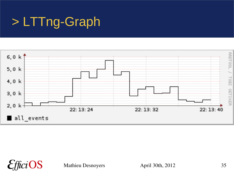#### > LTTng-Graph

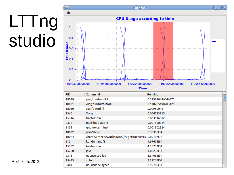# LTTng studio

| L,                                                                                      | <b>Flightbox</b>                                    | 回区<br>۵                            |  |  |  |  |  |  |
|-----------------------------------------------------------------------------------------|-----------------------------------------------------|------------------------------------|--|--|--|--|--|--|
| <b>File</b>                                                                             |                                                     |                                    |  |  |  |  |  |  |
| <b>CPU Usage according to time</b>                                                      |                                                     |                                    |  |  |  |  |  |  |
| 1<br>0.8<br>Usage<br>0.6<br>$\frac{1}{6}$ 0.4<br>0.2<br>$\mathbf{0}$<br>110953200000000 | 110954000000000<br>110954800000000                  | 110955600000000<br>110956400000000 |  |  |  |  |  |  |
| <b>PID</b>                                                                              | <b>Time</b><br>Command                              | Running                            |  |  |  |  |  |  |
| 18028                                                                                   | /usr/bin/burnP5                                     | E<br>0.323210496046875             |  |  |  |  |  |  |
| 18031                                                                                   | /usr/bin/burnMMX                                    | 0.148785498703125                  |  |  |  |  |  |  |
| 18030                                                                                   | /usr/bin/pkill                                      | 0.009590421                        |  |  |  |  |  |  |
| 1366                                                                                    | Xorg                                                | 0.006733815                        |  |  |  |  |  |  |
| 15346                                                                                   | firefox-bin                                         | 0.003516512                        |  |  |  |  |  |  |
| 2332                                                                                    | multiload-apple                                     | 0.001550314                        |  |  |  |  |  |  |
| 11351                                                                                   | gnome-terminal                                      | 0.001502524                        |  |  |  |  |  |  |
| 18032                                                                                   | /bin/sleep                                          | 6.38355E-4                         |  |  |  |  |  |  |
| 18024                                                                                   | /home/francis/workspace2/flightbox/tests 5.85707E-4 |                                    |  |  |  |  |  |  |
| 112                                                                                     | kondemand/3                                         | 4.97675E-4                         |  |  |  |  |  |  |
| 15352                                                                                   | firefox-bin                                         | 4.15732E-4                         |  |  |  |  |  |  |
| 15250                                                                                   | java                                                | 4.05233E-4                         |  |  |  |  |  |  |
| 2313                                                                                    | ubuntu-sso-logi                                     | 3.34031E-4                         |  |  |  |  |  |  |
| 15443                                                                                   | xchat                                               | 3.27217E-4                         |  |  |  |  |  |  |
| 2464                                                                                    | ubuntuone-syncd                                     | 2.99705E-4<br>$\checkmark$         |  |  |  |  |  |  |

April 30th, 2012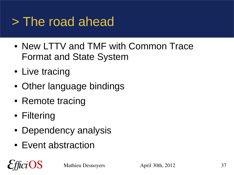#### > The road ahead

- New LTTV and TMF with Common Trace Format and State System
- Live tracing
- Other language bindings
- Remote tracing
- Filtering

OS

- Dependency analysis
- Event abstraction